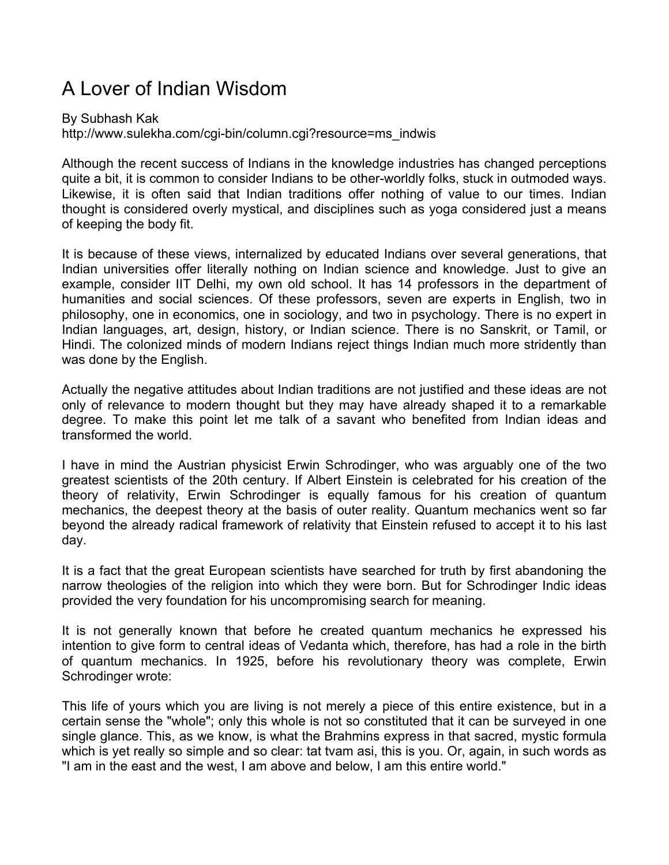## A Lover of Indian Wisdom

By Subhash Kak http://www.sulekha.com/cgi-bin/column.cgi?resource=ms\_indwis

Although the recent success of Indians in the knowledge industries has changed perceptions quite a bit, it is common to consider Indians to be other-worldly folks, stuck in outmoded ways. Likewise, it is often said that Indian traditions offer nothing of value to our times. Indian thought is considered overly mystical, and disciplines such as yoga considered just a means of keeping the body fit.

It is because of these views, internalized by educated Indians over several generations, that Indian universities offer literally nothing on Indian science and knowledge. Just to give an example, consider IIT Delhi, my own old school. It has 14 professors in the department of humanities and social sciences. Of these professors, seven are experts in English, two in philosophy, one in economics, one in sociology, and two in psychology. There is no expert in Indian languages, art, design, history, or Indian science. There is no Sanskrit, or Tamil, or Hindi. The colonized minds of modern Indians reject things Indian much more stridently than was done by the English.

Actually the negative attitudes about Indian traditions are not justified and these ideas are not only of relevance to modern thought but they may have already shaped it to a remarkable degree. To make this point let me talk of a savant who benefited from Indian ideas and transformed the world.

I have in mind the Austrian physicist Erwin Schrodinger, who was arguably one of the two greatest scientists of the 20th century. If Albert Einstein is celebrated for his creation of the theory of relativity, Erwin Schrodinger is equally famous for his creation of quantum mechanics, the deepest theory at the basis of outer reality. Quantum mechanics went so far beyond the already radical framework of relativity that Einstein refused to accept it to his last day.

It is a fact that the great European scientists have searched for truth by first abandoning the narrow theologies of the religion into which they were born. But for Schrodinger Indic ideas provided the very foundation for his uncompromising search for meaning.

It is not generally known that before he created quantum mechanics he expressed his intention to give form to central ideas of Vedanta which, therefore, has had a role in the birth of quantum mechanics. In 1925, before his revolutionary theory was complete, Erwin Schrodinger wrote:

This life of yours which you are living is not merely a piece of this entire existence, but in a certain sense the "whole"; only this whole is not so constituted that it can be surveyed in one single glance. This, as we know, is what the Brahmins express in that sacred, mystic formula which is yet really so simple and so clear: tat tvam asi, this is you. Or, again, in such words as "I am in the east and the west, I am above and below, I am this entire world."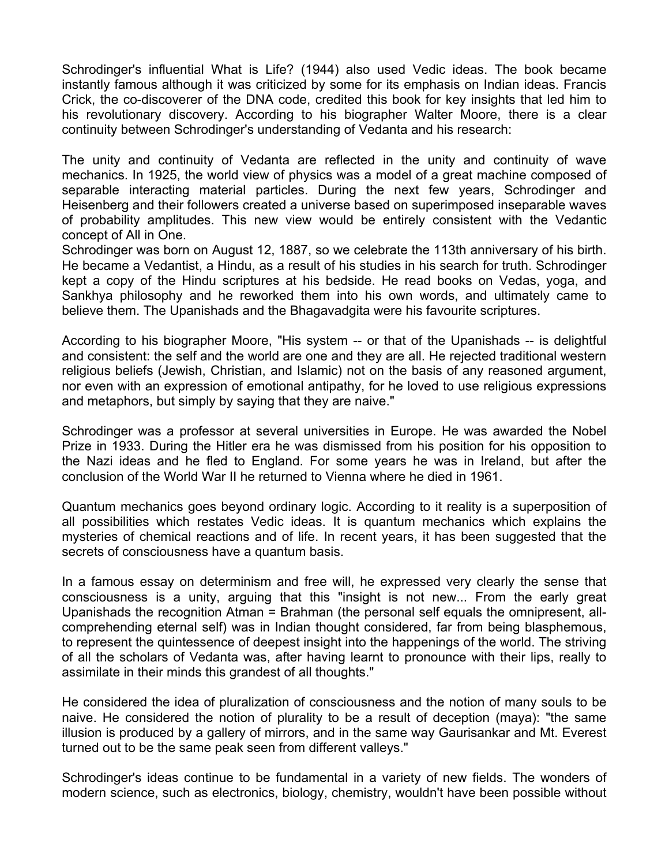Schrodinger's influential What is Life? (1944) also used Vedic ideas. The book became instantly famous although it was criticized by some for its emphasis on Indian ideas. Francis Crick, the co-discoverer of the DNA code, credited this book for key insights that led him to his revolutionary discovery. According to his biographer Walter Moore, there is a clear continuity between Schrodinger's understanding of Vedanta and his research:

The unity and continuity of Vedanta are reflected in the unity and continuity of wave mechanics. In 1925, the world view of physics was a model of a great machine composed of separable interacting material particles. During the next few years, Schrodinger and Heisenberg and their followers created a universe based on superimposed inseparable waves of probability amplitudes. This new view would be entirely consistent with the Vedantic concept of All in One.

Schrodinger was born on August 12, 1887, so we celebrate the 113th anniversary of his birth. He became a Vedantist, a Hindu, as a result of his studies in his search for truth. Schrodinger kept a copy of the Hindu scriptures at his bedside. He read books on Vedas, yoga, and Sankhya philosophy and he reworked them into his own words, and ultimately came to believe them. The Upanishads and the Bhagavadgita were his favourite scriptures.

According to his biographer Moore, "His system -- or that of the Upanishads -- is delightful and consistent: the self and the world are one and they are all. He rejected traditional western religious beliefs (Jewish, Christian, and Islamic) not on the basis of any reasoned argument, nor even with an expression of emotional antipathy, for he loved to use religious expressions and metaphors, but simply by saying that they are naive."

Schrodinger was a professor at several universities in Europe. He was awarded the Nobel Prize in 1933. During the Hitler era he was dismissed from his position for his opposition to the Nazi ideas and he fled to England. For some years he was in Ireland, but after the conclusion of the World War II he returned to Vienna where he died in 1961.

Quantum mechanics goes beyond ordinary logic. According to it reality is a superposition of all possibilities which restates Vedic ideas. It is quantum mechanics which explains the mysteries of chemical reactions and of life. In recent years, it has been suggested that the secrets of consciousness have a quantum basis.

In a famous essay on determinism and free will, he expressed very clearly the sense that consciousness is a unity, arguing that this "insight is not new... From the early great Upanishads the recognition Atman = Brahman (the personal self equals the omnipresent, allcomprehending eternal self) was in Indian thought considered, far from being blasphemous, to represent the quintessence of deepest insight into the happenings of the world. The striving of all the scholars of Vedanta was, after having learnt to pronounce with their lips, really to assimilate in their minds this grandest of all thoughts."

He considered the idea of pluralization of consciousness and the notion of many souls to be naive. He considered the notion of plurality to be a result of deception (maya): "the same illusion is produced by a gallery of mirrors, and in the same way Gaurisankar and Mt. Everest turned out to be the same peak seen from different valleys."

Schrodinger's ideas continue to be fundamental in a variety of new fields. The wonders of modern science, such as electronics, biology, chemistry, wouldn't have been possible without